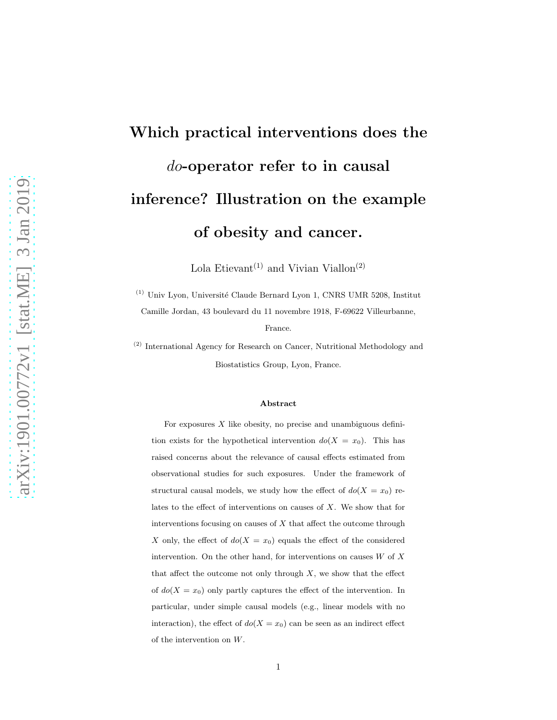# Which practical interventions does the do-operator refer to in causal inference? Illustration on the example of obesity and cancer.

Lola Etievant<sup>(1)</sup> and Vivian Viallon<sup>(2)</sup>

 $^{(1)}$ Univ Lyon, Université Claude Bernard Lyon 1, CNRS UMR 5208, Institut Camille Jordan, 43 boulevard du 11 novembre 1918, F-69622 Villeurbanne,

France.

(2) International Agency for Research on Cancer, Nutritional Methodology and Biostatistics Group, Lyon, France.

#### Abstract

For exposures  $X$  like obesity, no precise and unambiguous definition exists for the hypothetical intervention  $do(X = x_0)$ . This has raised concerns about the relevance of causal effects estimated from observational studies for such exposures. Under the framework of structural causal models, we study how the effect of  $do(X = x_0)$  relates to the effect of interventions on causes of X. We show that for interventions focusing on causes of  $X$  that affect the outcome through X only, the effect of  $do(X = x_0)$  equals the effect of the considered intervention. On the other hand, for interventions on causes  $W$  of  $X$ that affect the outcome not only through  $X$ , we show that the effect of  $do(X = x_0)$  only partly captures the effect of the intervention. In particular, under simple causal models (e.g., linear models with no interaction), the effect of  $do(X = x_0)$  can be seen as an indirect effect of the intervention on W.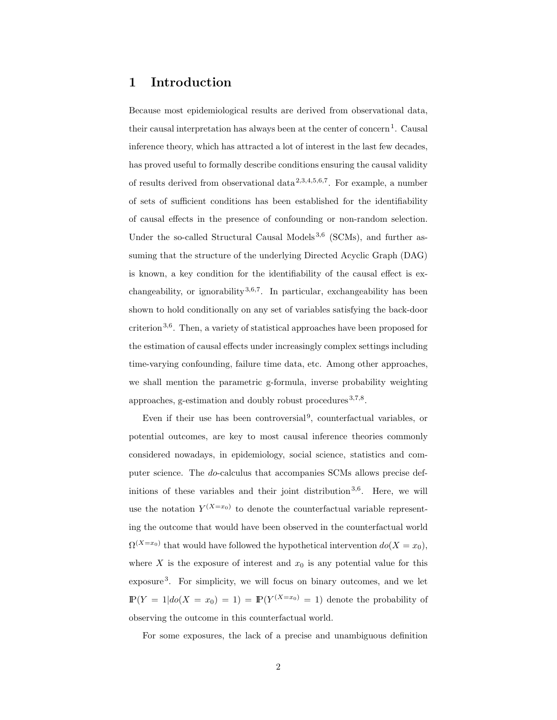### 1 Introduction

Because most epidemiological results are derived from observational data, their causal interpretation has always been at the center of concern<sup>1</sup>. Causal inference theory, which has attracted a lot of interest in the last few decades, has proved useful to formally describe conditions ensuring the causal validity of results derived from observational data 2,3,4,5,6,7. For example, a number of sets of sufficient conditions has been established for the identifiability of causal effects in the presence of confounding or non-random selection. Under the so-called Structural Causal Models<sup>3,6</sup> (SCMs), and further assuming that the structure of the underlying Directed Acyclic Graph (DAG) is known, a key condition for the identifiability of the causal effect is exchangeability, or ignorability  $3,6,7$ . In particular, exchangeability has been shown to hold conditionally on any set of variables satisfying the back-door criterion<sup>3,6</sup>. Then, a variety of statistical approaches have been proposed for the estimation of causal effects under increasingly complex settings including time-varying confounding, failure time data, etc. Among other approaches, we shall mention the parametric g-formula, inverse probability weighting approaches, g-estimation and doubly robust procedures<sup>3,7,8</sup>.

Even if their use has been controversial<sup>9</sup>, counterfactual variables, or potential outcomes, are key to most causal inference theories commonly considered nowadays, in epidemiology, social science, statistics and computer science. The do-calculus that accompanies SCMs allows precise definitions of these variables and their joint distribution<sup>3,6</sup>. Here, we will use the notation  $Y^{(X=x_0)}$  to denote the counterfactual variable representing the outcome that would have been observed in the counterfactual world  $\Omega^{(X=x_0)}$  that would have followed the hypothetical intervention  $do(X=x_0)$ , where X is the exposure of interest and  $x_0$  is any potential value for this exposure<sup>3</sup> . For simplicity, we will focus on binary outcomes, and we let  $\mathbb{P}(Y = 1 | do(X = x_0) = 1) = \mathbb{P}(Y^{(X=x_0)} = 1)$  denote the probability of observing the outcome in this counterfactual world.

For some exposures, the lack of a precise and unambiguous definition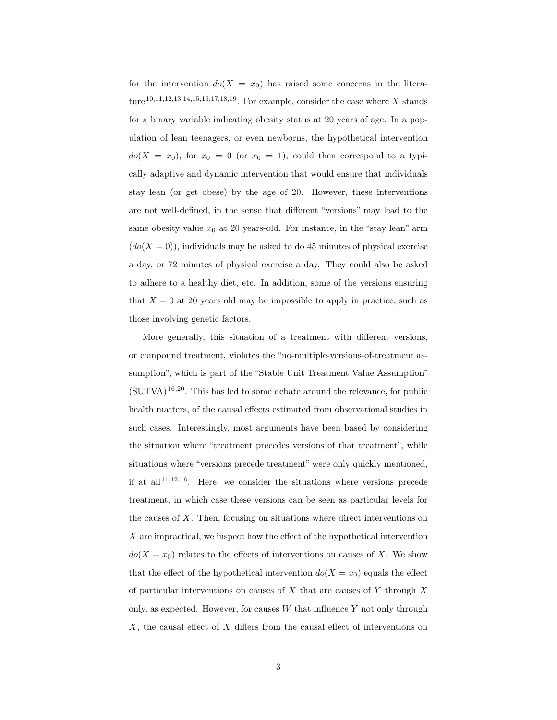for the intervention  $do(X = x_0)$  has raised some concerns in the literature<sup>10,11,12,13,14,15,16,17,18,19</sup>. For example, consider the case where X stands for a binary variable indicating obesity status at 20 years of age. In a population of lean teenagers, or even newborns, the hypothetical intervention  $do(X = x_0)$ , for  $x_0 = 0$  (or  $x_0 = 1$ ), could then correspond to a typically adaptive and dynamic intervention that would ensure that individuals stay lean (or get obese) by the age of 20. However, these interventions are not well-defined, in the sense that different "versions" may lead to the same obesity value  $x_0$  at 20 years-old. For instance, in the "stay lean" arm  $(do(X = 0))$ , individuals may be asked to do 45 minutes of physical exercise a day, or 72 minutes of physical exercise a day. They could also be asked to adhere to a healthy diet, etc. In addition, some of the versions ensuring that  $X = 0$  at 20 years old may be impossible to apply in practice, such as those involving genetic factors.

More generally, this situation of a treatment with different versions, or compound treatment, violates the "no-multiple-versions-of-treatment assumption", which is part of the "Stable Unit Treatment Value Assumption"  $(SUTVA)^{16,20}$ . This has led to some debate around the relevance, for public health matters, of the causal effects estimated from observational studies in such cases. Interestingly, most arguments have been based by considering the situation where "treatment precedes versions of that treatment", while situations where "versions precede treatment" were only quickly mentioned, if at all  $11,12,16$ . Here, we consider the situations where versions precede treatment, in which case these versions can be seen as particular levels for the causes of  $X$ . Then, focusing on situations where direct interventions on X are impractical, we inspect how the effect of the hypothetical intervention  $do(X = x_0)$  relates to the effects of interventions on causes of X. We show that the effect of the hypothetical intervention  $do(X = x_0)$  equals the effect of particular interventions on causes of  $X$  that are causes of  $Y$  through  $X$ only, as expected. However, for causes  $W$  that influence  $Y$  not only through X, the causal effect of X differs from the causal effect of interventions on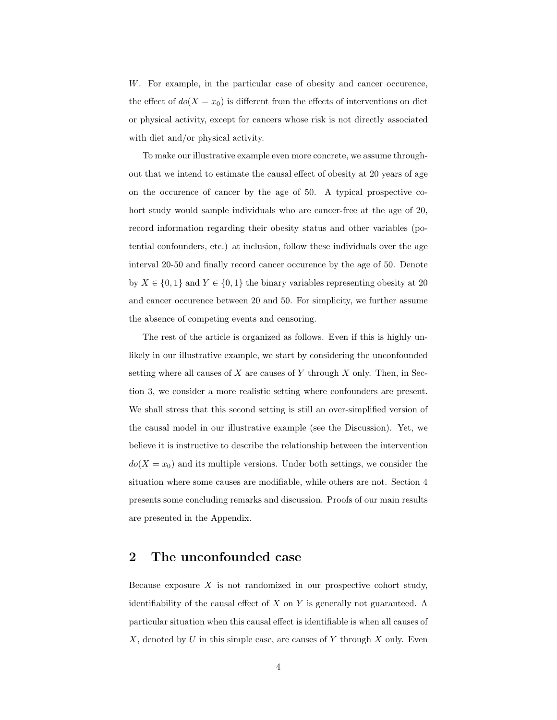W. For example, in the particular case of obesity and cancer occurence, the effect of  $do(X = x_0)$  is different from the effects of interventions on diet or physical activity, except for cancers whose risk is not directly associated with diet and/or physical activity.

To make our illustrative example even more concrete, we assume throughout that we intend to estimate the causal effect of obesity at 20 years of age on the occurence of cancer by the age of 50. A typical prospective cohort study would sample individuals who are cancer-free at the age of 20, record information regarding their obesity status and other variables (potential confounders, etc.) at inclusion, follow these individuals over the age interval 20-50 and finally record cancer occurence by the age of 50. Denote by  $X \in \{0,1\}$  and  $Y \in \{0,1\}$  the binary variables representing obesity at 20 and cancer occurence between 20 and 50. For simplicity, we further assume the absence of competing events and censoring.

The rest of the article is organized as follows. Even if this is highly unlikely in our illustrative example, we start by considering the unconfounded setting where all causes of  $X$  are causes of  $Y$  through  $X$  only. Then, in Section 3, we consider a more realistic setting where confounders are present. We shall stress that this second setting is still an over-simplified version of the causal model in our illustrative example (see the Discussion). Yet, we believe it is instructive to describe the relationship between the intervention  $do(X = x_0)$  and its multiple versions. Under both settings, we consider the situation where some causes are modifiable, while others are not. Section 4 presents some concluding remarks and discussion. Proofs of our main results are presented in the Appendix.

## 2 The unconfounded case

Because exposure  $X$  is not randomized in our prospective cohort study, identifiability of the causal effect of  $X$  on  $Y$  is generally not guaranteed. A particular situation when this causal effect is identifiable is when all causes of  $X$ , denoted by  $U$  in this simple case, are causes of  $Y$  through  $X$  only. Even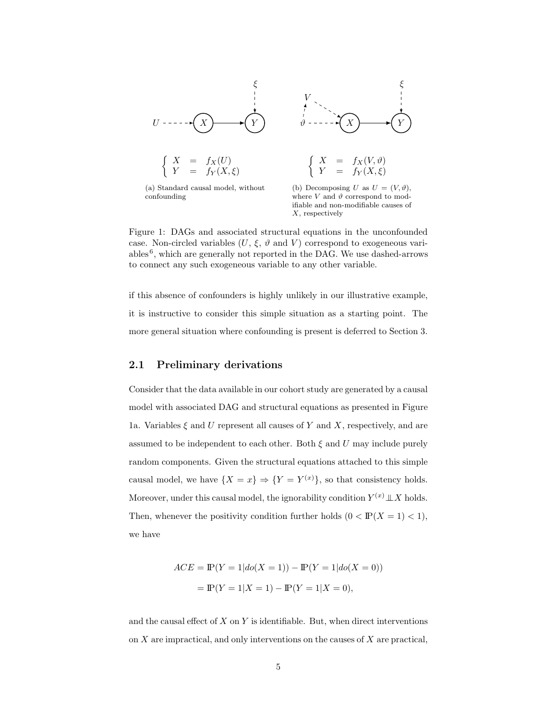

confounding

where  $V$  and  $\vartheta$  correspond to modifiable and non-modifiable causes of  $X$ , respectively

Figure 1: DAGs and associated structural equations in the unconfounded case. Non-circled variables  $(U, \xi, \vartheta)$  and  $V$  correspond to exogeneous variables<sup>6</sup>, which are generally not reported in the DAG. We use dashed-arrows to connect any such exogeneous variable to any other variable.

if this absence of confounders is highly unlikely in our illustrative example, it is instructive to consider this simple situation as a starting point. The more general situation where confounding is present is deferred to Section 3.

#### 2.1 Preliminary derivations

Consider that the data available in our cohort study are generated by a causal model with associated DAG and structural equations as presented in Figure 1a. Variables  $\xi$  and U represent all causes of Y and X, respectively, and are assumed to be independent to each other. Both  $\xi$  and  $U$  may include purely random components. Given the structural equations attached to this simple causal model, we have  $\{X = x\} \Rightarrow \{Y = Y^{(x)}\}\$ , so that consistency holds. Moreover, under this causal model, the ignorability condition  $Y^{(x)} \perp\!\!\!\perp X$  holds. Then, whenever the positivity condition further holds  $(0 < \mathbb{P}(X = 1) < 1)$ , we have

$$
ACE = \mathbb{P}(Y = 1 | do(X = 1)) - \mathbb{P}(Y = 1 | do(X = 0))
$$

$$
= \mathbb{P}(Y = 1 | X = 1) - \mathbb{P}(Y = 1 | X = 0),
$$

and the causal effect of  $X$  on  $Y$  is identifiable. But, when direct interventions on  $X$  are impractical, and only interventions on the causes of  $X$  are practical,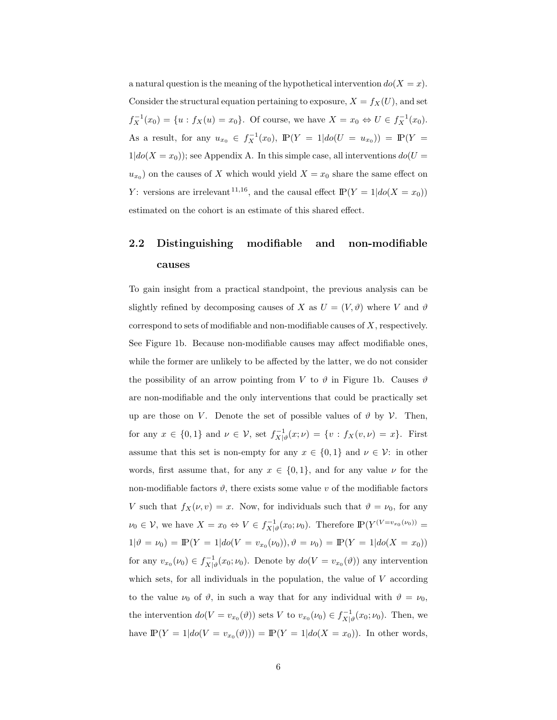a natural question is the meaning of the hypothetical intervention  $do(X = x)$ . Consider the structural equation pertaining to exposure,  $X = f_X(U)$ , and set  $f_X^{-1}(x_0) = \{u : f_X(u) = x_0\}$ . Of course, we have  $X = x_0 \Leftrightarrow U \in f_X^{-1}(x_0)$ . As a result, for any  $u_{x_0} \in f_X^{-1}(x_0)$ ,  $\mathbb{P}(Y = 1 | do(U = u_{x_0})) = \mathbb{P}(Y = 1 |$  $1|do(X = x_0)$ ; see Appendix A. In this simple case, all interventions  $do(U =$  $u_{x_0}$  on the causes of X which would yield  $X = x_0$  share the same effect on Y: versions are irrelevant <sup>11,16</sup>, and the causal effect  $\mathbb{P}(Y = 1 | do(X = x_0))$ estimated on the cohort is an estimate of this shared effect.

# 2.2 Distinguishing modifiable and non-modifiable causes

To gain insight from a practical standpoint, the previous analysis can be slightly refined by decomposing causes of X as  $U = (V, \vartheta)$  where V and  $\vartheta$ correspond to sets of modifiable and non-modifiable causes of  $X$ , respectively. See Figure 1b. Because non-modifiable causes may affect modifiable ones, while the former are unlikely to be affected by the latter, we do not consider the possibility of an arrow pointing from V to  $\vartheta$  in Figure 1b. Causes  $\vartheta$ are non-modifiable and the only interventions that could be practically set up are those on V. Denote the set of possible values of  $\vartheta$  by V. Then, for any  $x \in \{0,1\}$  and  $\nu \in \mathcal{V}$ , set  $f_{X|\vartheta}^{-1}(x;\nu) = \{v : f_X(v,\nu) = x\}$ . First assume that this set is non-empty for any  $x \in \{0,1\}$  and  $\nu \in \mathcal{V}$ : in other words, first assume that, for any  $x \in \{0,1\}$ , and for any value  $\nu$  for the non-modifiable factors  $\vartheta$ , there exists some value v of the modifiable factors V such that  $f_X(\nu, v) = x$ . Now, for individuals such that  $\vartheta = \nu_0$ , for any  $\nu_0 \in V$ , we have  $X = x_0 \Leftrightarrow V \in f_{X|\vartheta}^{-1}(x_0; \nu_0)$ . Therefore  $\mathbb{P}(Y^{(V=v_{x_0}(\nu_0))} =$  $1|\vartheta = \nu_0) = \mathbb{P}(Y = 1|do(V = v_{x_0}(\nu_0)), \vartheta = \nu_0) = \mathbb{P}(Y = 1|do(X = x_0))$ for any  $v_{x_0}(\nu_0) \in f_{X|\vartheta}^{-1}(x_0; \nu_0)$ . Denote by  $d\sigma(V = v_{x_0}(\vartheta))$  any intervention which sets, for all individuals in the population, the value of  $V$  according to the value  $\nu_0$  of  $\vartheta$ , in such a way that for any individual with  $\vartheta = \nu_0$ , the intervention  $do(V = v_{x_0}(\vartheta))$  sets V to  $v_{x_0}(\nu_0) \in f_{X|\vartheta}^{-1}(x_0; \nu_0)$ . Then, we have  $P(Y = 1 | do(V = v_{x_0}(\vartheta))) = P(Y = 1 | do(X = x_0))$ . In other words,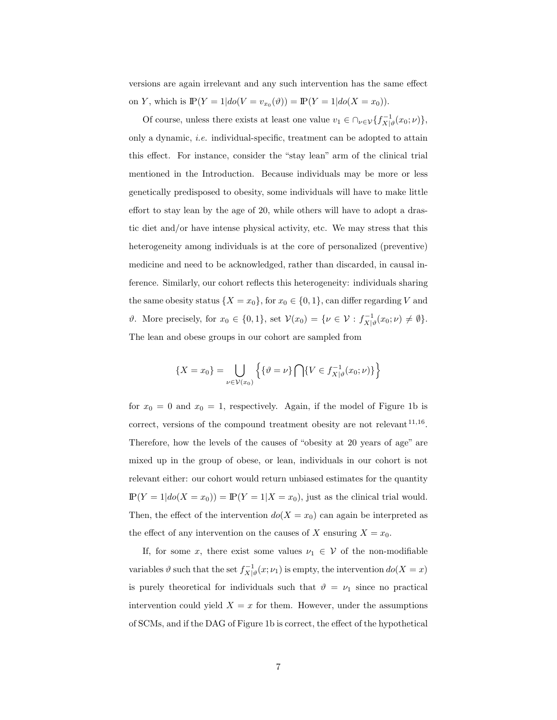versions are again irrelevant and any such intervention has the same effect on Y, which is  $\mathbb{P}(Y = 1 | do(V = v_{x_0}(\vartheta)) = \mathbb{P}(Y = 1 | do(X = x_0)).$ 

Of course, unless there exists at least one value  $v_1 \in \bigcap_{\nu \in \mathcal{V}} \{f_{X|\vartheta}^{-1}(x_0; \nu)\},\$ only a dynamic, *i.e.* individual-specific, treatment can be adopted to attain this effect. For instance, consider the "stay lean" arm of the clinical trial mentioned in the Introduction. Because individuals may be more or less genetically predisposed to obesity, some individuals will have to make little effort to stay lean by the age of 20, while others will have to adopt a drastic diet and/or have intense physical activity, etc. We may stress that this heterogeneity among individuals is at the core of personalized (preventive) medicine and need to be acknowledged, rather than discarded, in causal inference. Similarly, our cohort reflects this heterogeneity: individuals sharing the same obesity status  $\{X = x_0\}$ , for  $x_0 \in \{0, 1\}$ , can differ regarding V and  $\vartheta$ . More precisely, for  $x_0 \in \{0, 1\}$ , set  $\mathcal{V}(x_0) = \{ \nu \in \mathcal{V} : f^{-1}_{X|\vartheta}(x_0; \nu) \neq \emptyset \}.$ The lean and obese groups in our cohort are sampled from

$$
\{X = x_0\} = \bigcup_{\nu \in \mathcal{V}(x_0)} \left\{ \{\vartheta = \nu\} \bigcap \{V \in f_{X|\vartheta}^{-1}(x_0; \nu)\} \right\}
$$

for  $x_0 = 0$  and  $x_0 = 1$ , respectively. Again, if the model of Figure 1b is correct, versions of the compound treatment obesity are not relevant  $11,16$ . Therefore, how the levels of the causes of "obesity at 20 years of age" are mixed up in the group of obese, or lean, individuals in our cohort is not relevant either: our cohort would return unbiased estimates for the quantity  $\mathbb{P}(Y = 1 | do(X = x_0)) = \mathbb{P}(Y = 1 | X = x_0)$ , just as the clinical trial would. Then, the effect of the intervention  $do(X = x_0)$  can again be interpreted as the effect of any intervention on the causes of X ensuring  $X = x_0$ .

If, for some x, there exist some values  $\nu_1 \in V$  of the non-modifiable variables  $\vartheta$  such that the set  $f_{X|\vartheta}^{-1}(x;\nu_1)$  is empty, the intervention  $do(X=x)$ is purely theoretical for individuals such that  $\vartheta = \nu_1$  since no practical intervention could yield  $X = x$  for them. However, under the assumptions of SCMs, and if the DAG of Figure 1b is correct, the effect of the hypothetical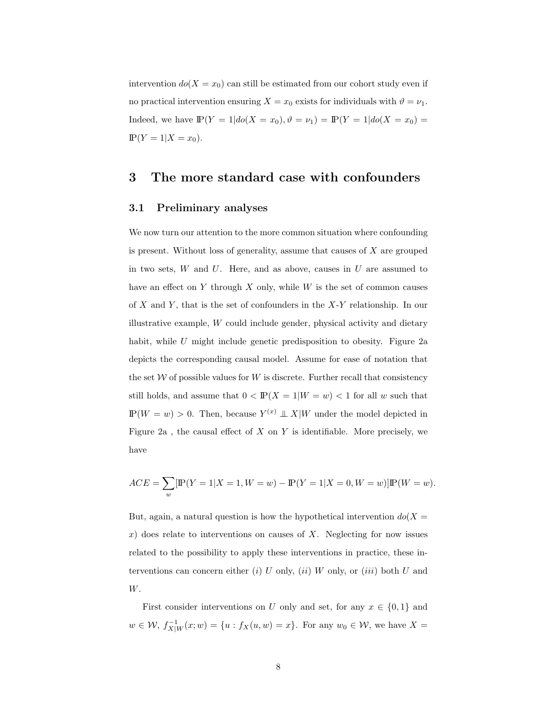intervention  $do(X = x_0)$  can still be estimated from our cohort study even if no practical intervention ensuring  $X = x_0$  exists for individuals with  $\vartheta = \nu_1$ . Indeed, we have  $\mathbb{P}(Y = 1 | do(X = x_0), \vartheta = \nu_1) = \mathbb{P}(Y = 1 | do(X = x_0) =$  $\mathbb{P}(Y = 1 | X = x_0).$ 

### 3 The more standard case with confounders

#### 3.1 Preliminary analyses

We now turn our attention to the more common situation where confounding is present. Without loss of generality, assume that causes of  $X$  are grouped in two sets,  $W$  and  $U$ . Here, and as above, causes in  $U$  are assumed to have an effect on  $Y$  through  $X$  only, while  $W$  is the set of common causes of  $X$  and  $Y$ , that is the set of confounders in the  $X-Y$  relationship. In our illustrative example, W could include gender, physical activity and dietary habit, while U might include genetic predisposition to obesity. Figure 2a depicts the corresponding causal model. Assume for ease of notation that the set  $W$  of possible values for  $W$  is discrete. Further recall that consistency still holds, and assume that  $0 < \mathbb{P}(X = 1 | W = w) < 1$  for all w such that  $\mathbb{P}(W = w) > 0$ . Then, because  $Y^{(x)} \perp \!\!\! \perp X|W$  under the model depicted in Figure 2a, the causal effect of  $X$  on  $Y$  is identifiable. More precisely, we have

$$
ACE = \sum_{w} [\mathbb{P}(Y=1|X=1, W=w) - \mathbb{P}(Y=1|X=0, W=w)] \mathbb{P}(W=w).
$$

But, again, a natural question is how the hypothetical intervention  $do(X =$  $x$ ) does relate to interventions on causes of X. Neglecting for now issues related to the possibility to apply these interventions in practice, these interventions can concern either (i) U only, (ii) W only, or (iii) both U and W.

First consider interventions on U only and set, for any  $x \in \{0,1\}$  and  $w \in \mathcal{W}, f_{X|W}^{-1}(x; w) = \{u : f_X(u, w) = x\}.$  For any  $w_0 \in \mathcal{W}$ , we have  $X =$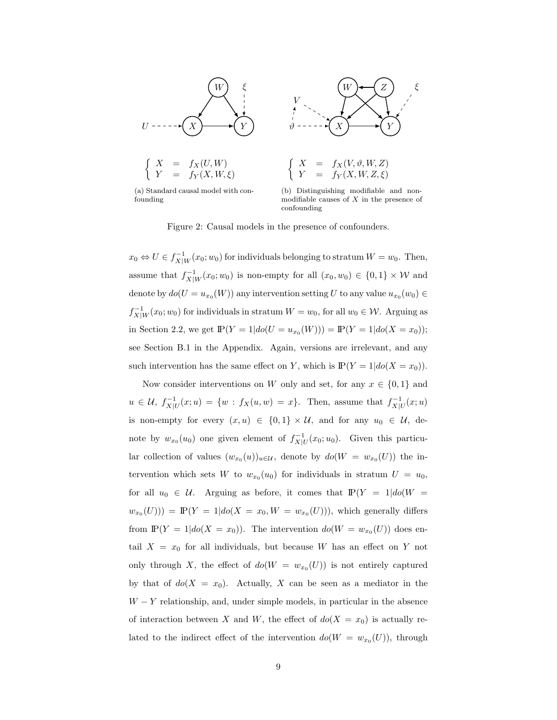

(a) Standard causal model with confounding



$$
\begin{array}{rcl}\nX & = & f_X(V, \vartheta, W, Z) \\
Y & = & f_Y(X, W, Z, \xi)\n\end{array}
$$

(b) Distinguishing modifiable and nonmodifiable causes of  $X$  in the presence of confounding

Figure 2: Causal models in the presence of confounders.

 $x_0 \Leftrightarrow U \in f^{-1}_{X|W}(x_0; w_0)$  for individuals belonging to stratum  $W = w_0$ . Then, assume that  $f_{X|W}^{-1}(x_0; w_0)$  is non-empty for all  $(x_0, w_0) \in \{0, 1\} \times W$  and denote by  $do(U = u_{x_0}(W))$  any intervention setting U to any value  $u_{x_0}(w_0) \in$  $f_{X|W}^{-1}(x_0; w_0)$  for individuals in stratum  $W = w_0$ , for all  $w_0 \in \mathcal{W}$ . Arguing as in Section 2.2, we get  $\mathbb{P}(Y = 1 | do(U = u_{x_0}(W))) = \mathbb{P}(Y = 1 | do(X = x_0));$ see Section B.1 in the Appendix. Again, versions are irrelevant, and any such intervention has the same effect on Y, which is  $\mathbb{P}(Y = 1|do(X = x_0)).$ 

Now consider interventions on W only and set, for any  $x \in \{0,1\}$  and  $u \in \mathcal{U}, f^{-1}_{X|U}(x; u) = \{w : f_X(u, w) = x\}.$  Then, assume that  $f^{-1}_{X|U}(x; u)$ is non-empty for every  $(x, u) \in \{0, 1\} \times U$ , and for any  $u_0 \in U$ , denote by  $w_{x_0}(u_0)$  one given element of  $f_{X|U}^{-1}(x_0; u_0)$ . Given this particular collection of values  $(w_{x_0}(u))_{u \in \mathcal{U}}$ , denote by  $d\mathcal{O}(W = w_{x_0}(U))$  the intervention which sets W to  $w_{x_0}(u_0)$  for individuals in stratum  $U = u_0$ , for all  $u_0 \in \mathcal{U}$ . Arguing as before, it comes that  $\mathbb{P}(Y = 1 | do(W =$  $w_{x_0}(U)) = \mathbb{P}(Y = 1 | do(X = x_0, W = w_{x_0}(U))),$  which generally differs from  $\mathbb{P}(Y = 1 | do(X = x_0))$ . The intervention  $do(W = w_{x_0}(U))$  does entail  $X = x_0$  for all individuals, but because W has an effect on Y not only through X, the effect of  $do(W = w_{x_0}(U))$  is not entirely captured by that of  $do(X = x_0)$ . Actually, X can be seen as a mediator in the  $W - Y$  relationship, and, under simple models, in particular in the absence of interaction between X and W, the effect of  $do(X = x_0)$  is actually related to the indirect effect of the intervention  $do(W = w_{x_0}(U))$ , through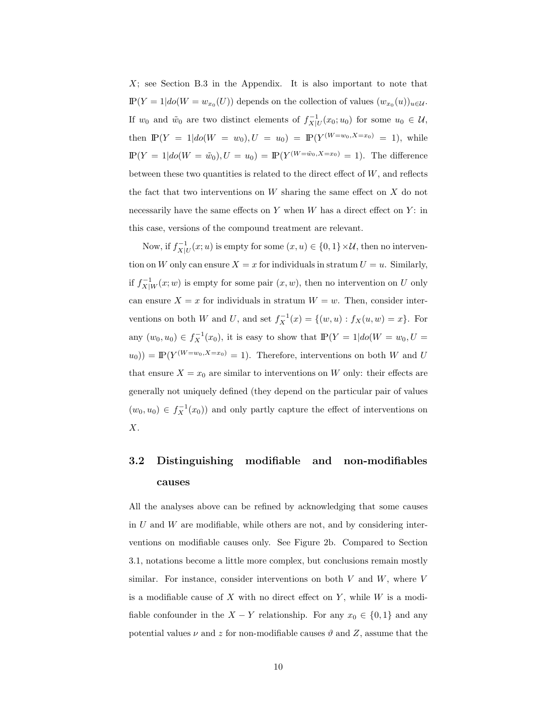$X$ ; see Section B.3 in the Appendix. It is also important to note that  $P(Y = 1 | do(W = w_{x_0}(U))$  depends on the collection of values  $(w_{x_0}(u))_{u \in \mathcal{U}}$ . If  $w_0$  and  $\tilde{w}_0$  are two distinct elements of  $f_{X|U}^{-1}(x_0; u_0)$  for some  $u_0 \in \mathcal{U}$ , then  $\mathbb{P}(Y = 1 | do(W = w_0), U = u_0) = \mathbb{P}(Y^{(W=w_0, X=x_0)} = 1)$ , while  $P(Y = 1 | do(W = \tilde{w}_0), U = u_0) = P(Y^{(W = \tilde{w}_0, X = x_0)} = 1)$ . The difference between these two quantities is related to the direct effect of  $W$ , and reflects the fact that two interventions on W sharing the same effect on X do not necessarily have the same effects on  $Y$  when  $W$  has a direct effect on  $Y$ : in this case, versions of the compound treatment are relevant.

Now, if  $f_{X|U}^{-1}(x; u)$  is empty for some  $(x, u) \in \{0, 1\} \times U$ , then no intervention on W only can ensure  $X = x$  for individuals in stratum  $U = u$ . Similarly, if  $f_{X|W}^{-1}(x; w)$  is empty for some pair  $(x, w)$ , then no intervention on U only can ensure  $X = x$  for individuals in stratum  $W = w$ . Then, consider interventions on both W and U, and set  $f_X^{-1}(x) = \{(w, u) : f_X(u, w) = x\}$ . For any  $(w_0, u_0) \in f_X^{-1}(x_0)$ , it is easy to show that  $P(Y = 1 | do(W = w_0, U =$  $(u_0)$  =  $\mathbb{P}(Y^{(W=w_0,X=x_0)} = 1)$ . Therefore, interventions on both W and U that ensure  $X = x_0$  are similar to interventions on W only: their effects are generally not uniquely defined (they depend on the particular pair of values  $(w_0, u_0) \in f_X^{-1}(x_0)$  and only partly capture the effect of interventions on X.

# 3.2 Distinguishing modifiable and non-modifiables causes

All the analyses above can be refined by acknowledging that some causes in  $U$  and  $W$  are modifiable, while others are not, and by considering interventions on modifiable causes only. See Figure 2b. Compared to Section 3.1, notations become a little more complex, but conclusions remain mostly similar. For instance, consider interventions on both  $V$  and  $W$ , where  $V$ is a modifiable cause of X with no direct effect on  $Y$ , while W is a modifiable confounder in the  $X - Y$  relationship. For any  $x_0 \in \{0, 1\}$  and any potential values  $\nu$  and z for non-modifiable causes  $\vartheta$  and Z, assume that the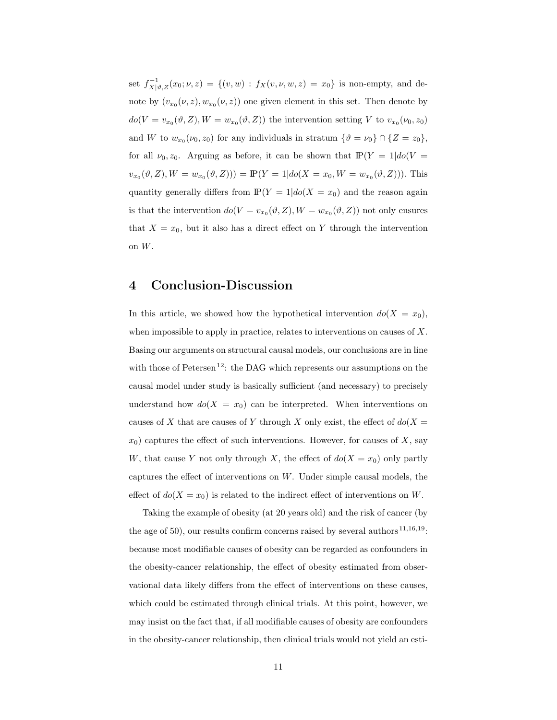set  $f_{X|\vartheta,Z}^{-1}(x_0;\nu,z) = \{(v,w) : f_X(v,\nu,w,z) = x_0\}$  is non-empty, and denote by  $(v_{x_0}(\nu, z), w_{x_0}(\nu, z))$  one given element in this set. Then denote by  $do(V = v_{x_0}(\vartheta, Z), W = w_{x_0}(\vartheta, Z))$  the intervention setting V to  $v_{x_0}(\nu_0, z_0)$ and W to  $w_{x_0}(\nu_0, z_0)$  for any individuals in stratum  $\{\vartheta = \nu_0\} \cap \{Z = z_0\},\$ for all  $\nu_0, z_0$ . Arguing as before, it can be shown that  $P(Y = 1|do(V =$  $v_{x_0}(\vartheta, Z), W = w_{x_0}(\vartheta, Z)) = \mathbb{P}(Y = 1 | do(X = x_0, W = w_{x_0}(\vartheta, Z))).$  This quantity generally differs from  $\mathbb{P}(Y = 1 | do(X = x_0)$  and the reason again is that the intervention  $do(V = v_{x_0}(\vartheta, Z), W = w_{x_0}(\vartheta, Z))$  not only ensures that  $X = x_0$ , but it also has a direct effect on Y through the intervention on W.

### 4 Conclusion-Discussion

In this article, we showed how the hypothetical intervention  $do(X = x_0)$ , when impossible to apply in practice, relates to interventions on causes of  $X$ . Basing our arguments on structural causal models, our conclusions are in line with those of Petersen<sup>12</sup>: the DAG which represents our assumptions on the causal model under study is basically sufficient (and necessary) to precisely understand how  $do(X = x_0)$  can be interpreted. When interventions on causes of X that are causes of Y through X only exist, the effect of  $do(X =$  $x_0$ ) captures the effect of such interventions. However, for causes of X, say W, that cause Y not only through X, the effect of  $do(X = x_0)$  only partly captures the effect of interventions on W. Under simple causal models, the effect of  $do(X = x_0)$  is related to the indirect effect of interventions on W.

Taking the example of obesity (at 20 years old) and the risk of cancer (by the age of 50), our results confirm concerns raised by several authors  $11,16,19$ : because most modifiable causes of obesity can be regarded as confounders in the obesity-cancer relationship, the effect of obesity estimated from observational data likely differs from the effect of interventions on these causes, which could be estimated through clinical trials. At this point, however, we may insist on the fact that, if all modifiable causes of obesity are confounders in the obesity-cancer relationship, then clinical trials would not yield an esti-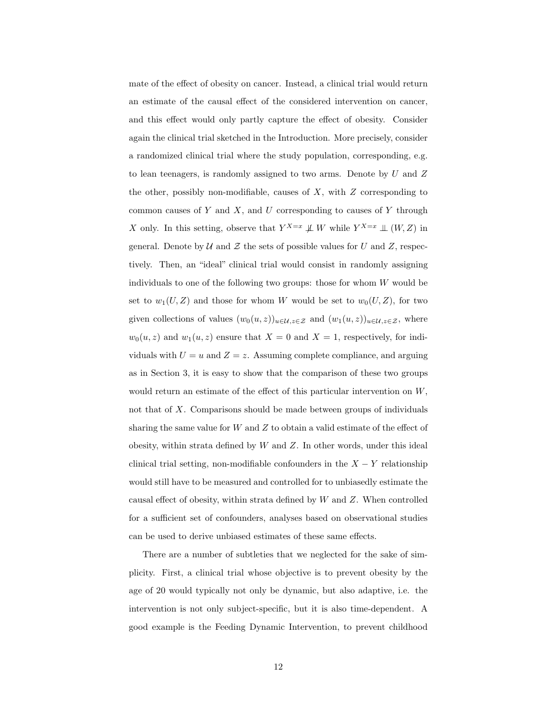mate of the effect of obesity on cancer. Instead, a clinical trial would return an estimate of the causal effect of the considered intervention on cancer, and this effect would only partly capture the effect of obesity. Consider again the clinical trial sketched in the Introduction. More precisely, consider a randomized clinical trial where the study population, corresponding, e.g. to lean teenagers, is randomly assigned to two arms. Denote by  $U$  and  $Z$ the other, possibly non-modifiable, causes of  $X$ , with  $Z$  corresponding to common causes of  $Y$  and  $X$ , and  $U$  corresponding to causes of  $Y$  through X only. In this setting, observe that  $Y^{X=x} \not\perp W$  while  $Y^{X=x} \perp (W, Z)$  in general. Denote by  $U$  and  $Z$  the sets of possible values for  $U$  and  $Z$ , respectively. Then, an "ideal" clinical trial would consist in randomly assigning individuals to one of the following two groups: those for whom  $W$  would be set to  $w_1(U, Z)$  and those for whom W would be set to  $w_0(U, Z)$ , for two given collections of values  $(w_0(u, z))_{u \in \mathcal{U}, z \in \mathcal{Z}}$  and  $(w_1(u, z))_{u \in \mathcal{U}, z \in \mathcal{Z}}$ , where  $w_0(u, z)$  and  $w_1(u, z)$  ensure that  $X = 0$  and  $X = 1$ , respectively, for individuals with  $U = u$  and  $Z = z$ . Assuming complete compliance, and arguing as in Section 3, it is easy to show that the comparison of these two groups would return an estimate of the effect of this particular intervention on W, not that of X. Comparisons should be made between groups of individuals sharing the same value for  $W$  and  $Z$  to obtain a valid estimate of the effect of obesity, within strata defined by  $W$  and  $Z$ . In other words, under this ideal clinical trial setting, non-modifiable confounders in the  $X - Y$  relationship would still have to be measured and controlled for to unbiasedly estimate the causal effect of obesity, within strata defined by  $W$  and  $Z$ . When controlled for a sufficient set of confounders, analyses based on observational studies can be used to derive unbiased estimates of these same effects.

There are a number of subtleties that we neglected for the sake of simplicity. First, a clinical trial whose objective is to prevent obesity by the age of 20 would typically not only be dynamic, but also adaptive, i.e. the intervention is not only subject-specific, but it is also time-dependent. A good example is the Feeding Dynamic Intervention, to prevent childhood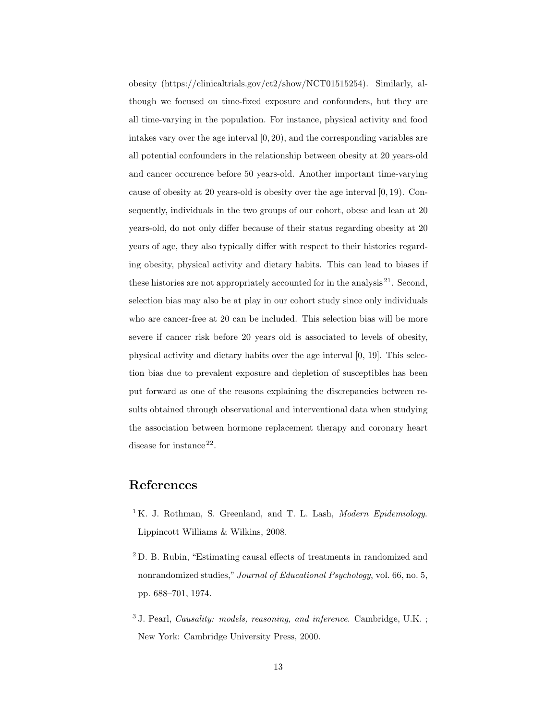obesity (https://clinicaltrials.gov/ct2/show/NCT01515254). Similarly, although we focused on time-fixed exposure and confounders, but they are all time-varying in the population. For instance, physical activity and food intakes vary over the age interval  $[0, 20)$ , and the corresponding variables are all potential confounders in the relationship between obesity at 20 years-old and cancer occurence before 50 years-old. Another important time-varying cause of obesity at 20 years-old is obesity over the age interval [0, 19). Consequently, individuals in the two groups of our cohort, obese and lean at 20 years-old, do not only differ because of their status regarding obesity at 20 years of age, they also typically differ with respect to their histories regarding obesity, physical activity and dietary habits. This can lead to biases if these histories are not appropriately accounted for in the analysis  $2^1$ . Second, selection bias may also be at play in our cohort study since only individuals who are cancer-free at 20 can be included. This selection bias will be more severe if cancer risk before 20 years old is associated to levels of obesity, physical activity and dietary habits over the age interval [0, 19]. This selection bias due to prevalent exposure and depletion of susceptibles has been put forward as one of the reasons explaining the discrepancies between results obtained through observational and interventional data when studying the association between hormone replacement therapy and coronary heart disease for instance  $22$ .

## References

- <sup>1</sup> K. J. Rothman, S. Greenland, and T. L. Lash, *Modern Epidemiology*. Lippincott Williams & Wilkins, 2008.
- <sup>2</sup> D. B. Rubin, "Estimating causal effects of treatments in randomized and nonrandomized studies," *Journal of Educational Psychology*, vol. 66, no. 5, pp. 688–701, 1974.
- <sup>3</sup> J. Pearl, *Causality: models, reasoning, and inference*. Cambridge, U.K. ; New York: Cambridge University Press, 2000.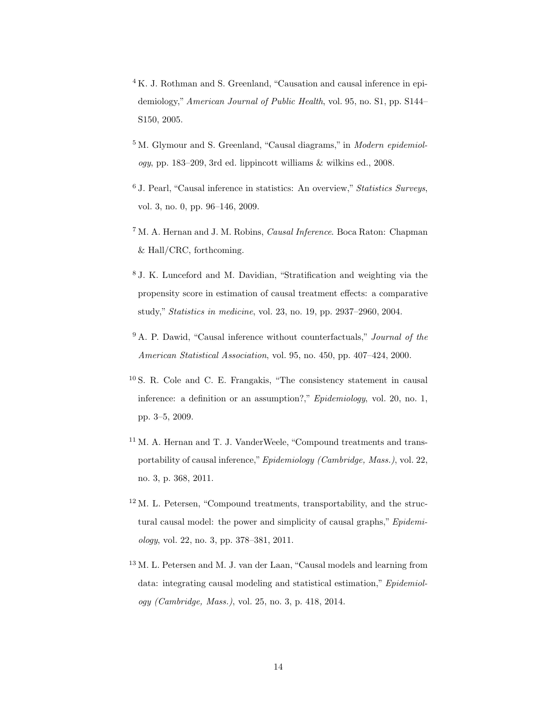- <sup>4</sup> K. J. Rothman and S. Greenland, "Causation and causal inference in epidemiology," *American Journal of Public Health*, vol. 95, no. S1, pp. S144– S150, 2005.
- <sup>5</sup> M. Glymour and S. Greenland, "Causal diagrams," in *Modern epidemiology*, pp. 183–209, 3rd ed. lippincott williams & wilkins ed., 2008.
- <sup>6</sup> J. Pearl, "Causal inference in statistics: An overview," *Statistics Surveys*, vol. 3, no. 0, pp. 96–146, 2009.
- <sup>7</sup> M. A. Hernan and J. M. Robins, *Causal Inference*. Boca Raton: Chapman & Hall/CRC, forthcoming.
- <sup>8</sup> J. K. Lunceford and M. Davidian, "Stratification and weighting via the propensity score in estimation of causal treatment effects: a comparative study," *Statistics in medicine*, vol. 23, no. 19, pp. 2937–2960, 2004.
- <sup>9</sup> A. P. Dawid, "Causal inference without counterfactuals," *Journal of the American Statistical Association*, vol. 95, no. 450, pp. 407–424, 2000.
- <sup>10</sup> S. R. Cole and C. E. Frangakis, "The consistency statement in causal inference: a definition or an assumption?," *Epidemiology*, vol. 20, no. 1, pp. 3–5, 2009.
- $^{11}$  M. A. Hernan and T. J. VanderWeele, "Compound treatments and transportability of causal inference,"*Epidemiology (Cambridge, Mass.)*, vol. 22, no. 3, p. 368, 2011.
- <sup>12</sup> M. L. Petersen, "Compound treatments, transportability, and the structural causal model: the power and simplicity of causal graphs," *Epidemiology*, vol. 22, no. 3, pp. 378–381, 2011.
- <sup>13</sup> M. L. Petersen and M. J. van der Laan, "Causal models and learning from data: integrating causal modeling and statistical estimation," *Epidemiology (Cambridge, Mass.)*, vol. 25, no. 3, p. 418, 2014.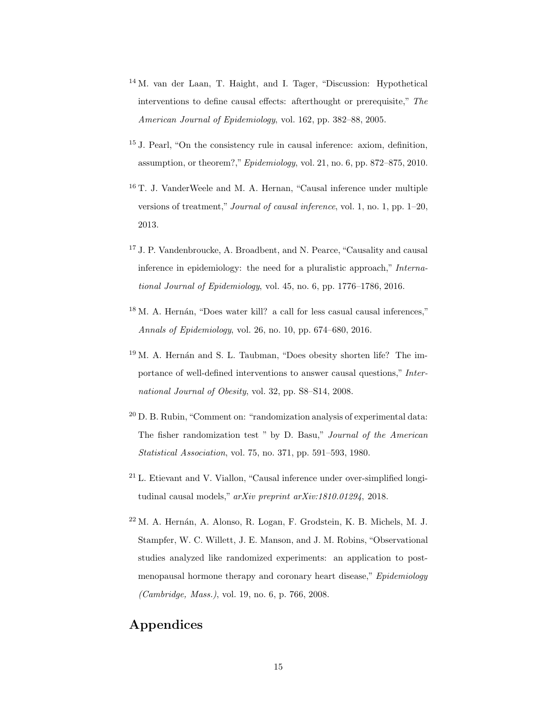- <sup>14</sup> M. van der Laan, T. Haight, and I. Tager, "Discussion: Hypothetical interventions to define causal effects: afterthought or prerequisite," *The American Journal of Epidemiology*, vol. 162, pp. 382–88, 2005.
- <sup>15</sup> J. Pearl, "On the consistency rule in causal inference: axiom, definition, assumption, or theorem?,"*Epidemiology*, vol. 21, no. 6, pp. 872–875, 2010.
- <sup>16</sup> T. J. VanderWeele and M. A. Hernan, "Causal inference under multiple versions of treatment," *Journal of causal inference*, vol. 1, no. 1, pp. 1–20, 2013.
- <sup>17</sup> J. P. Vandenbroucke, A. Broadbent, and N. Pearce, "Causality and causal inference in epidemiology: the need for a pluralistic approach," *International Journal of Epidemiology*, vol. 45, no. 6, pp. 1776–1786, 2016.
- $18$  M. A. Hernán, "Does water kill? a call for less casual causal inferences," *Annals of Epidemiology*, vol. 26, no. 10, pp. 674–680, 2016.
- $19$  M. A. Hernán and S. L. Taubman, "Does obesity shorten life? The importance of well-defined interventions to answer causal questions," *International Journal of Obesity*, vol. 32, pp. S8–S14, 2008.
- $20$  D. B. Rubin, "Comment on: "randomization analysis of experimental data: The fisher randomization test " by D. Basu," *Journal of the American Statistical Association*, vol. 75, no. 371, pp. 591–593, 1980.
- $21$  L. Etievant and V. Viallon, "Causal inference under over-simplified longitudinal causal models," *arXiv preprint arXiv:1810.01294*, 2018.
- $22$  M. A. Hernán, A. Alonso, R. Logan, F. Grodstein, K. B. Michels, M. J. Stampfer, W. C. Willett, J. E. Manson, and J. M. Robins, "Observational studies analyzed like randomized experiments: an application to postmenopausal hormone therapy and coronary heart disease," *Epidemiology (Cambridge, Mass.)*, vol. 19, no. 6, p. 766, 2008.

## Appendices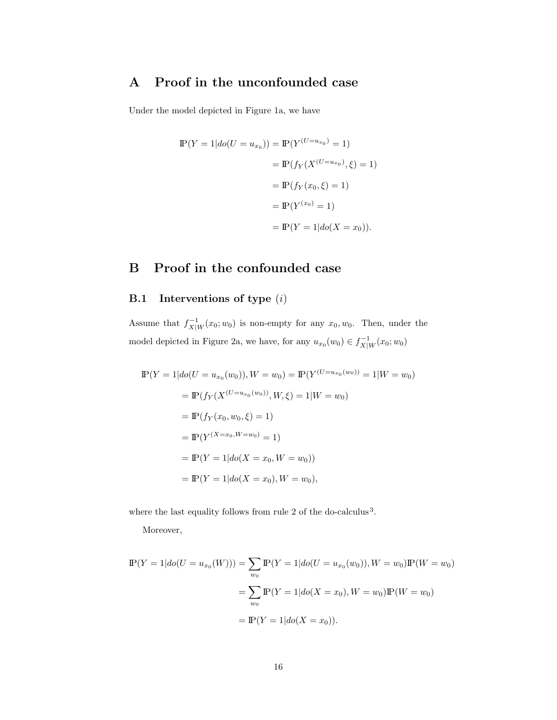# A Proof in the unconfounded case

Under the model depicted in Figure 1a, we have

$$
\begin{aligned} \mathbb{P}(Y=1|do(U=u_{x_0})) &= \mathbb{P}(Y^{(U=u_{x_0})}=1) \\ &= \mathbb{P}(f_Y(X^{(U=u_{x_0})},\xi) = 1) \\ &= \mathbb{P}(f_Y(x_0,\xi) = 1) \\ &= \mathbb{P}(Y^{(x_0)}=1) \\ &= \mathbb{P}(Y=1|do(X=x_0)). \end{aligned}
$$

# B Proof in the confounded case

## B.1 Interventions of type (i)

Assume that  $f_{X|W}^{-1}(x_0; w_0)$  is non-empty for any  $x_0, w_0$ . Then, under the model depicted in Figure 2a, we have, for any  $u_{x_0}(w_0) \in f_{X|W}^{-1}(x_0; w_0)$ 

$$
\mathbb{P}(Y = 1 | do(U = u_{x_0}(w_0)), W = w_0) = \mathbb{P}(Y^{(U = u_{x_0}(w_0))} = 1 | W = w_0)
$$
  
=  $\mathbb{P}(f_Y(X^{(U = u_{x_0}(w_0))}, W, \xi) = 1 | W = w_0)$   
=  $\mathbb{P}(f_Y(x_0, w_0, \xi) = 1)$   
=  $\mathbb{P}(Y^{(X = x_0, W = w_0)} = 1)$   
=  $\mathbb{P}(Y = 1 | do(X = x_0, W = w_0))$   
=  $\mathbb{P}(Y = 1 | do(X = x_0), W = w_0),$ 

where the last equality follows from rule 2 of the do-calculus<sup>3</sup>.

Moreover,

$$
\mathbb{P}(Y = 1 | do(U = u_{x_0}(W))) = \sum_{w_0} \mathbb{P}(Y = 1 | do(U = u_{x_0}(w_0)), W = w_0) \mathbb{P}(W = w_0)
$$

$$
= \sum_{w_0} \mathbb{P}(Y = 1 | do(X = x_0), W = w_0) \mathbb{P}(W = w_0)
$$

$$
= \mathbb{P}(Y = 1 | do(X = x_0)).
$$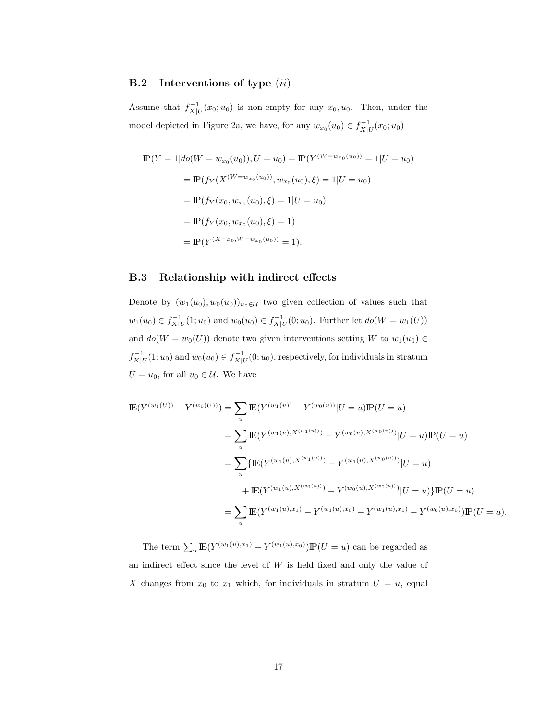#### **B.2** Interventions of type  $(ii)$

Assume that  $f_{X|U}^{-1}(x_0; u_0)$  is non-empty for any  $x_0, u_0$ . Then, under the model depicted in Figure 2a, we have, for any  $w_{x_0}(u_0) \in f_{X|U}^{-1}(x_0; u_0)$ 

$$
\mathbb{P}(Y = 1 | do(W = w_{x_0}(u_0)), U = u_0) = \mathbb{P}(Y^{(W = w_{x_0}(u_0))} = 1 | U = u_0)
$$
  
=  $\mathbb{P}(f_Y(X^{(W = w_{x_0}(u_0)), w_{x_0}(u_0), \xi) = 1 | U = u_0)$   
=  $\mathbb{P}(f_Y(x_0, w_{x_0}(u_0), \xi) = 1 | U = u_0)$   
=  $\mathbb{P}(f_Y(x_0, w_{x_0}(u_0), \xi) = 1)$   
=  $\mathbb{P}(Y^{(X = x_0, W = w_{x_0}(u_0))} = 1).$ 

#### B.3 Relationship with indirect effects

Denote by  $(w_1(u_0), w_0(u_0))_{u_0 \in \mathcal{U}}$  two given collection of values such that  $w_1(u_0) \in f_{X|U}^{-1}(1; u_0)$  and  $w_0(u_0) \in f_{X|U}^{-1}(0; u_0)$ . Further let  $do(W = w_1(U))$ and  $do(W = w_0(U))$  denote two given interventions setting W to  $w_1(u_0) \in$  $f_{X|U}^{-1}(1; u_0)$  and  $w_0(u_0) \in f_{X|U}^{-1}(0; u_0)$ , respectively, for individuals in stratum  $U = u_0$ , for all  $u_0 \in \mathcal{U}$ . We have

$$
\mathbb{E}(Y^{(w_1(U))} - Y^{(w_0(U))}) = \sum_{u} \mathbb{E}(Y^{(w_1(u))} - Y^{(w_0(u))}|U = u)\mathbb{P}(U = u)
$$
  
\n
$$
= \sum_{u} \mathbb{E}(Y^{(w_1(u), X^{(w_1(u))})} - Y^{(w_0(u), X^{(w_0(u))})}|U = u)\mathbb{P}(U = u)
$$
  
\n
$$
= \sum_{u} \{ \mathbb{E}(Y^{(w_1(u), X^{(w_1(u))})} - Y^{(w_1(u), X^{(w_0(u))})}|U = u) \}
$$
  
\n
$$
+ \mathbb{E}(Y^{(w_1(u), X^{(w_0(u))})} - Y^{(w_0(u), X^{(w_0(u))})}|U = u) \} \mathbb{P}(U = u)
$$
  
\n
$$
= \sum_{u} \mathbb{E}(Y^{(w_1(u), x_1)} - Y^{(w_1(u), x_0)} + Y^{(w_1(u), x_0)} - Y^{(w_0(u), x_0)}) \mathbb{P}(U = u).
$$

The term  $\sum_{u} \mathbb{E}(Y^{(w_1(u),x_1)} - Y^{(w_1(u),x_0)}) \mathbb{P}(U = u)$  can be regarded as an indirect effect since the level of  $W$  is held fixed and only the value of X changes from  $x_0$  to  $x_1$  which, for individuals in stratum  $U = u$ , equal